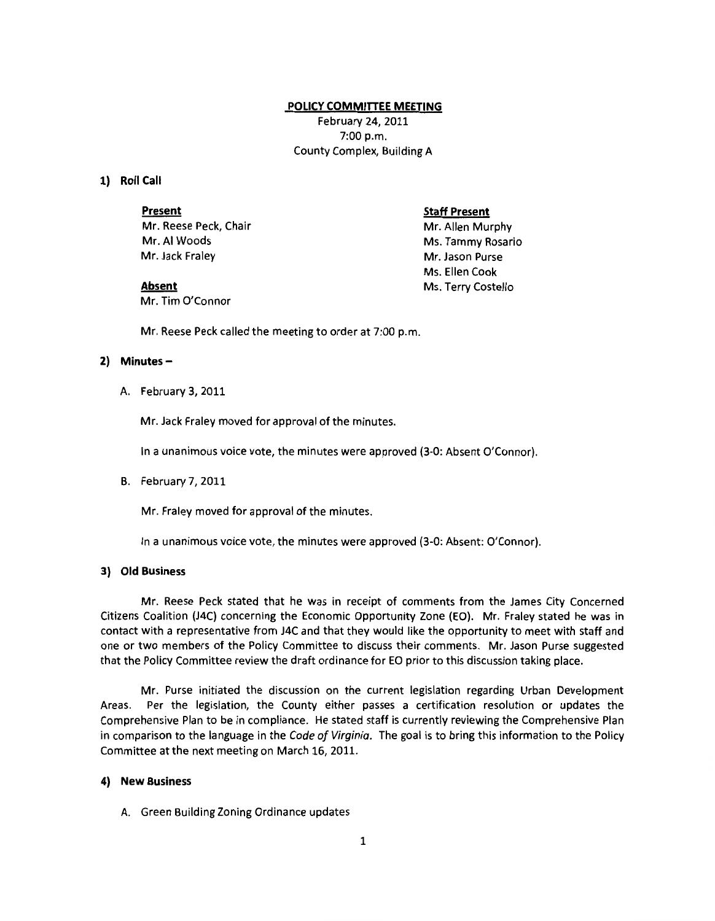### **POLICY COMMITTEE MEETING**

February *24,* 2011 7:00 p.m. County Complex, Building A

### **1) Roll Call**

**Present** 

Mr. Reese Peck, Chair Mr. AI Woods Mr. Jack Fraley

# **Staff Present**

Mr. Allen Murphy Ms. Tammy Rosario Mr. Jason Purse Ms. Ellen Cook Ms. Terry Costello

### **Absent**

Mr. Tim O'Connor

Mr. Reese Peck called the meeting to order at 7:00 p.m.

## **2) Minutes-**

A. February *3,* 2011

Mr. Jack Fraley moved for approval of the minutes.

In a unanimous voice vote, the minutes were approved (3-0: Absent O'Connor).

B. February *7,* 2011

Mr. Fraley moved for approval of the minutes.

In a unanimous voice vote, the minutes were approved (3-0: Absent: O'Connor).

### **3) Old Business**

Mr. Reese Peck stated that he was in receipt of comments from the James City Concerned Citizens Coalition (J4C) concerning the Economic Opportunity Zone (EO). Mr. Fraley stated he was in contact with a representative from J4C and that they would like the opportunity to meet with staff and one or two members of the Policy Committee to discuss their comments. Mr. Jason Purse suggested that the Policy Committee review the draft ordinance for EO prior to this discussion taking place.

Mr. Purse initiated the discussion on the current legislation regarding Urban Development Areas. Per the legislation, the County either passes a certification resolution or updates the Comprehensive Plan to be in compliance. He stated staff is currently reviewing the Comprehensive Plan in comparison to the language in the Code of Virginia. The goal is to bring this information to the Policy Committee at the next meeting on March 16, 2011.

## **4) New Business**

A. Green Building Zoning Ordinance updates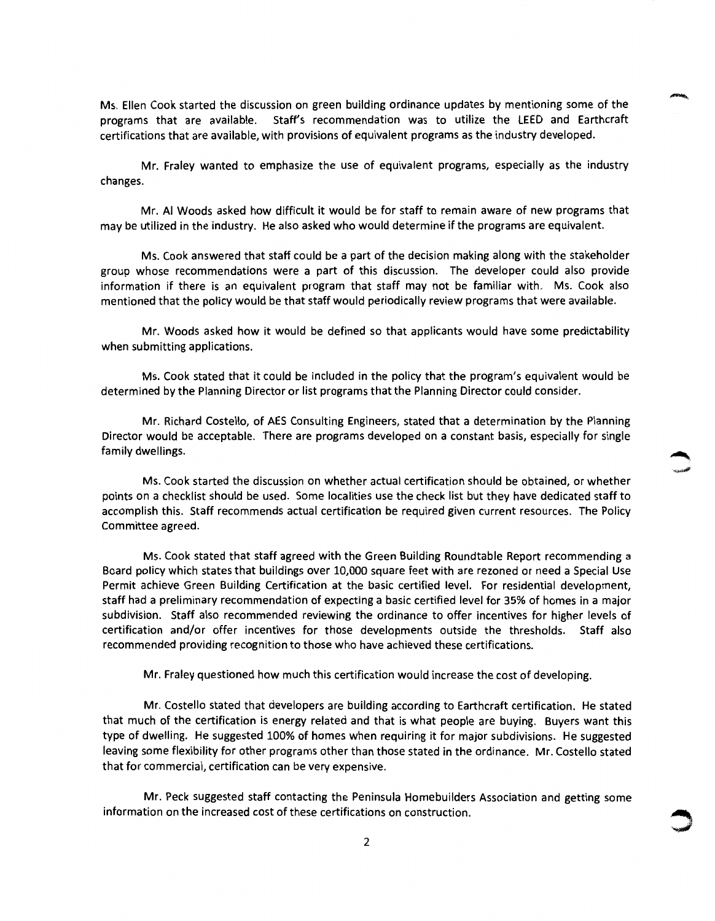Ms. Ellen Cook started the discussion on green building ordinance updates by mentioning some of the programs that are available. Staff's recommendation was to utilize the LEED and Earthcraft certifications that are available, with provisions of equivalent programs as the industry developed.

Mr. Fraley wanted to emphasize the use of equivalent programs, especially as the industry changes.

Mr. AI Woods asked how difficult it would be for staff to remain aware of new programs that may be utilized in the industry. He also asked who would determine if the programs are equivalent.

Ms. Cook answered that staff could be a part of the decision making along with the stakeholder group whose recommendations were a part of this discussion. The developer could also provide information if there is an equivalent program that staff may not be familiar with. Ms. Cook also mentioned that the policy would be that staff would periodically review programs that were available.

Mr. Woods asked how it would be defined so that applicants would have some predictability when submitting applications.

Ms. Cook stated that it could be included in the policy that the program's equivalent would be determined by the Planning Director or list programs that the Planning Director could consider.

Mr. Richard Costello, of AES Consulting Engineers, stated that a determination by the Planning Director would be acceptable. There are programs developed on a constant basis, especially for single family dwellings.

Ms. Cook started the discussion on whether actual certification should be obtained, or whether points on a checklist should be used. Some localities use the check list but they have dedicated staff to accomplish this. Staff recommends actual certification be required given current resources. The Policy Committee agreed.

Ms. Cook stated that staff agreed with the Green Building Roundtable Report recommending a Board policy which states that buildings over 10,000 square feet with are rezoned or need a Special Use Permit achieve Green Building Certification at the basic certified level. For residential development, staff had a preliminary recommendation of expecting a basic certified level for 35% of homes in a major subdivision. Staff also recommended reviewing the ordinance to offer incentives for higher levels of certification and/or offer incentives for those developments outside the thresholds. Staff also recommended providing recognition to those who have achieved these certifications.

Mr. Fraley questioned how much this certification would increase the cost of developing.

Mr. Costello stated that developers are building according to Earthcraft certification. He stated that much of the certification is energy related and that is what people are buying. Buyers want this type of dwelling. He suggested 100% of homes when requiring it for major subdivisions. He suggested leaving some flexibility for other programs other than those stated in the ordinance. Mr. Costello stated that for commercial, certification can be very expensive.

Mr. Peck suggested staff contacting the Peninsula Homebuilders Association and getting some information on the increased cost of these certifications on construction.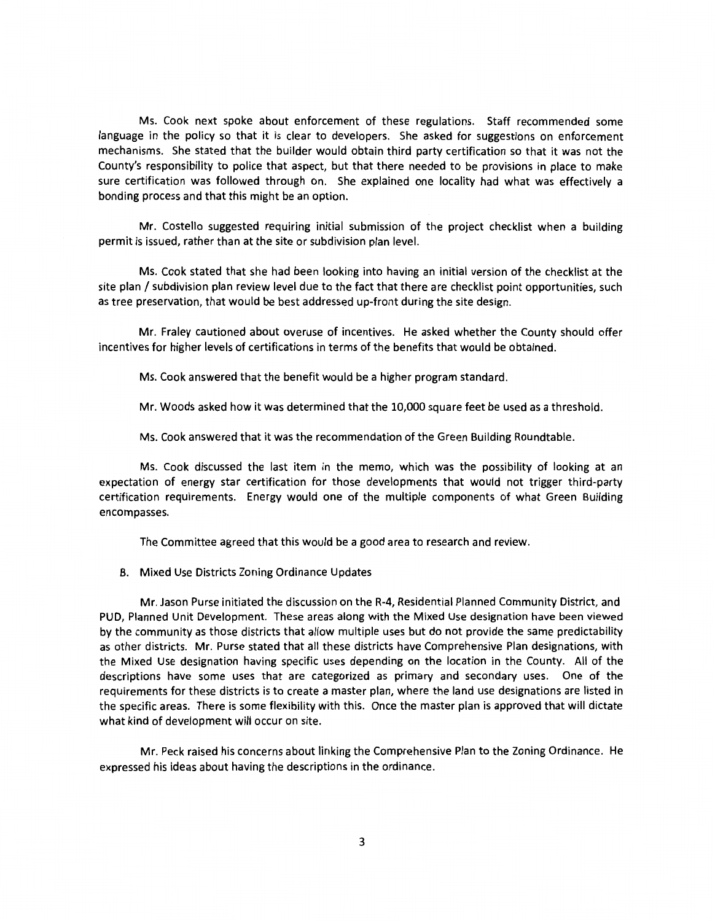Ms. Cook next spoke about enforcement of these regulations. Staff recommended some language in the policy so that it is clear to developers. She asked for suggestions on enforcement mechanisms. She stated that the builder would obtain third party certification so that it was not the County's responsibility to police that aspect, but that there needed to be provisions in place to make sure certification was followed through on. She explained one locality had what was effectively a bonding process and that this might be an option.

Mr. Costello suggested requiring initial submission of the project checklist when a building permit is issued, rather than at the site or subdivision plan level.

Ms. Cook stated that she had been looking into having an initial version of the checklist at the site plan / subdivision plan review level due to the fact that there are checklist point opportunities, such as tree preservation, that would be best addressed up-front during the site design.

Mr. Fraley cautioned about overuse of incentives. He asked whether the County should offer incentives for higher levels of certifications in terms of the benefits that would be obtained.

Ms. Cook answered that the benefit would be a higher program standard.

Mr. Woods asked how it was determined that the 10,000 square feet be used as a threshold.

Ms. Cook answered that it was the recommendation of the Green Building Roundtable.

Ms. Cook discussed the last item in the memo, which was the possibility of looking at an expectation of energy star certification for those developments that would not trigger third-party certification requirements. Energy would one of the multiple components of what Green Building encompasses.

The Committee agreed that this would be a good area to research and review.

B. Mixed Use Districts Zoning Ordinance Updates

Mr. Jason Purse initiated the discussion on the R-4, Residential Planned Community District, and PUD, Planned Unit Development. These areas along with the Mixed Use designation have been viewed by the community as those districts that allow multiple uses but do not provide the same predictability as other districts. Mr. Purse stated that all these districts have Comprehensive Plan designations, with the Mixed Use designation having specific uses depending on the location in the County. All of the descriptions have some uses that are categorized as primary and secondary uses. One of the requirements for these districts is to create a master plan, where the land use designations are listed in the specific areas. There is some flexibility with this. Once the master plan is approved that will dictate what kind of development will occur on site.

Mr. Peck raised his concerns about linking the Comprehensive Plan to the Zoning Ordinance. He expressed his ideas about having the descriptions in the ordinance.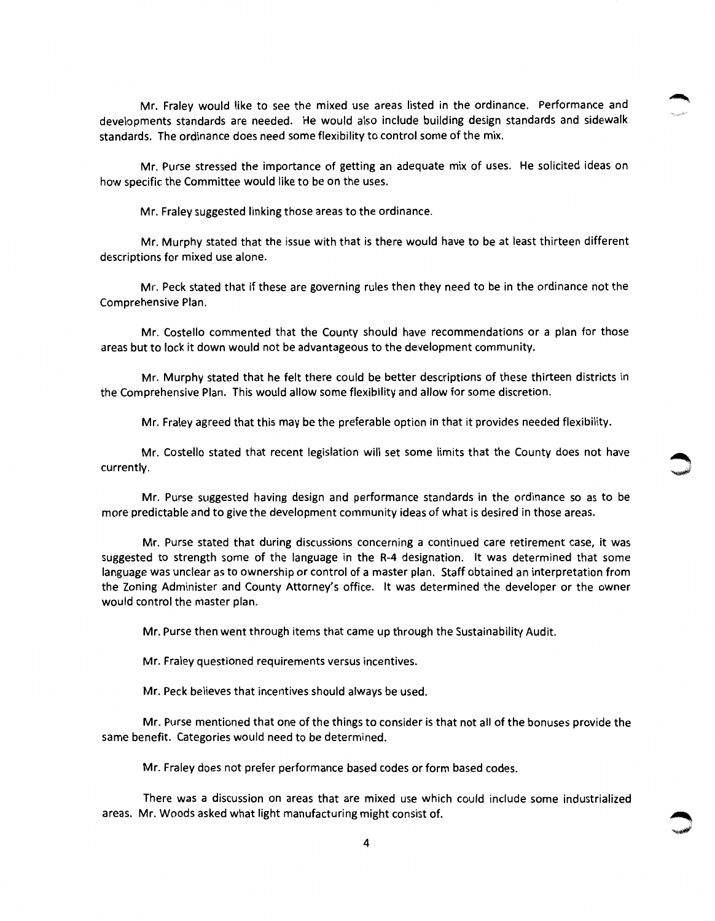Mr. Fraley would like to see the mixed use areas listed in the ordinance. Performance and developments standards are needed. He would also include building design standards and sidewalk standards. The ordinance does need some flexibility to control some of the mix.

Mr. Purse stressed the importance of getting an adequate mix of uses. He solicited ideas on how specific the Committee would like to be on the uses.

Mr. Fraley suggested linking those areas to the ordinance.

Mr. Murphy stated that the issue with that is there would have to be at least thirteen different descriptions for mixed use alone.

Mr. Peck stated that if these are governing rules then they need to be in the ordinance not the Comprehensive Plan.

Mr. Costello commented that the County should have recommendations or a plan for those areas but to lock it down would not be advantageous to the development community.

Mr. Murphy stated that he felt there could be better descriptions of these thirteen districts in the Comprehensive Plan. This would allow some flexibility and allow for some discretion.

Mr. Fraley agreed that this may be the preferable option in that it provides needed flexibility.

Mr. Costello stated that recent legislation will set some limits that the County does not have currently.

Mr. Purse suggested having design and performance standards in the ordinance so as to be more predictable and to give the development community ideas of what is desired in those areas.

Mr. Purse stated that during discussions concerning a continued care retirement case, it was suggested to strength some of the language in the R-4 designation. It was determined that some language was unclear as to ownership or control of a master plan. Staff obtained an interpretation from the Zoning Administer and County Attorney's office. It was determined the developer or the owner would control the master plan.

Mr. Purse then went through items that came up through the Sustainability Audit.

Mr. Fraley questioned requirements versus incentives.

Mr. Peck believes that incentives should always be used.

Mr. Purse mentioned that one of the things to consider is that not all of the bonuses provide the same benefit. Categories would need to be determined.

Mr. Fraley does not prefer performance based codes or form based codes.

There was a discussion on areas that are mixed use which could include some industrialized areas. Mr. Woods asked what light manufacturing might consist of.